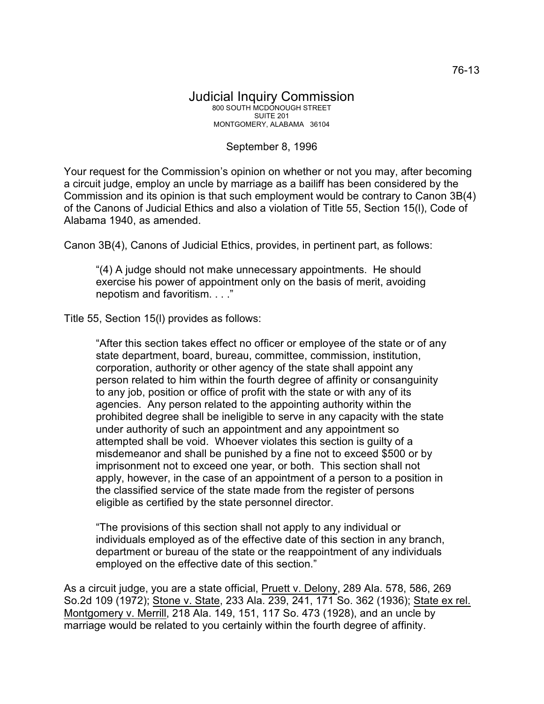## Judicial Inquiry Commission 800 SOUTH MCDONOUGH STREET SUITE 201 MONTGOMERY, ALABAMA 36104

## September 8, 1996

Your request for the Commission's opinion on whether or not you may, after becoming a circuit judge, employ an uncle by marriage as a bailiff has been considered by the Commission and its opinion is that such employment would be contrary to Canon 3B(4) of the Canons of Judicial Ethics and also a violation of Title 55, Section 15(l), Code of Alabama 1940, as amended.

Canon 3B(4), Canons of Judicial Ethics, provides, in pertinent part, as follows:

"(4) A judge should not make unnecessary appointments. He should exercise his power of appointment only on the basis of merit, avoiding nepotism and favoritism. . . ."

Title 55, Section 15(l) provides as follows:

"After this section takes effect no officer or employee of the state or of any state department, board, bureau, committee, commission, institution, corporation, authority or other agency of the state shall appoint any person related to him within the fourth degree of affinity or consanguinity to any job, position or office of profit with the state or with any of its agencies. Any person related to the appointing authority within the prohibited degree shall be ineligible to serve in any capacity with the state under authority of such an appointment and any appointment so attempted shall be void. Whoever violates this section is guilty of a misdemeanor and shall be punished by a fine not to exceed \$500 or by imprisonment not to exceed one year, or both. This section shall not apply, however, in the case of an appointment of a person to a position in the classified service of the state made from the register of persons eligible as certified by the state personnel director.

"The provisions of this section shall not apply to any individual or individuals employed as of the effective date of this section in any branch, department or bureau of the state or the reappointment of any individuals employed on the effective date of this section."

As a circuit judge, you are a state official, Pruett v. Delony, 289 Ala. 578, 586, 269 So.2d 109 (1972); Stone v. State, 233 Ala. 239, 241, 171 So. 362 (1936); State ex rel. Montgomery v. Merrill, 218 Ala. 149, 151, 117 So. 473 (1928), and an uncle by marriage would be related to you certainly within the fourth degree of affinity.